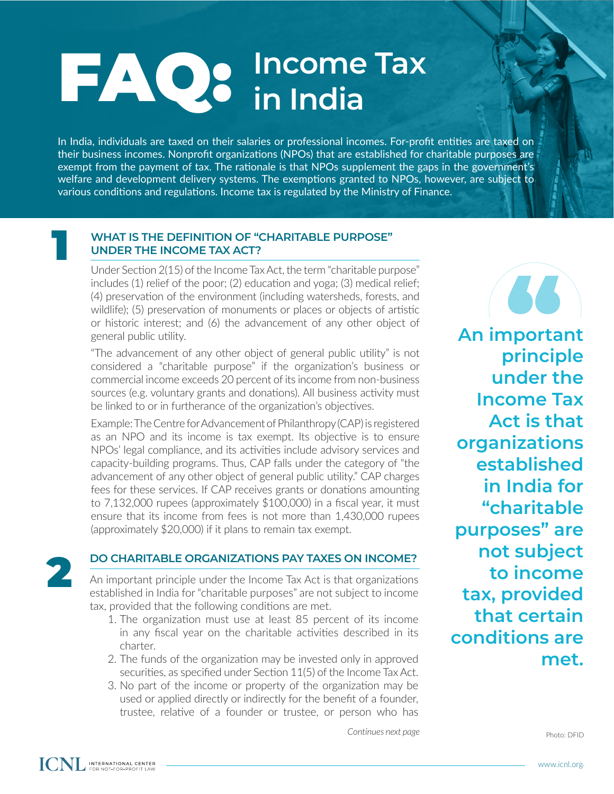## **FAQ:** Income Tax **in India**

In India, individuals are taxed on their salaries or professional incomes. For-profit entities are taxed on their business incomes. Nonprofit organizations (NPOs) that are established for charitable purposes are exempt from the payment of tax. The rationale is that NPOs supplement the gaps in the government's welfare and development delivery systems. The exemptions granted to NPOs, however, are subject to various conditions and regulations. Income tax is regulated by the Ministry of Finance.

## **WHAT IS THE DEFINITION OF "CHARITABLE PURPOSE" UNDER THE INCOME TAX ACT?**

Under Section 2(15) of the Income Tax Act, the term "charitable purpose" includes (1) relief of the poor; (2) education and yoga; (3) medical relief; (4) preservation of the environment (including watersheds, forests, and wildlife); (5) preservation of monuments or places or objects of artistic or historic interest; and (6) the advancement of any other object of general public utility.

"The advancement of any other object of general public utility" is not considered a "charitable purpose" if the organization's business or commercial income exceeds 20 percent of its income from non-business sources (e.g. voluntary grants and donations). All business activity must be linked to or in furtherance of the organization's objectives.

Example: The Centre for Advancement of Philanthropy (CAP) is registered as an NPO and its income is tax exempt. Its objective is to ensure NPOs' legal compliance, and its activities include advisory services and capacity-building programs. Thus, CAP falls under the category of "the advancement of any other object of general public utility." CAP charges fees for these services. If CAP receives grants or donations amounting to 7,132,000 rupees (approximately \$100,000) in a fiscal year, it must ensure that its income from fees is not more than 1,430,000 rupees (approximately \$20,000) if it plans to remain tax exempt.



1

An important principle under the Income Tax Act is that organizations established in India for "charitable purposes" are not subject to income tax, provided that the following conditions are met. **DO CHARITABLE ORGANIZATIONS PAY TAXES ON INCOME?**<br>An important principle under the Income Tax Act is that organizations<br>established in India for "charitable nurnoses" are not subject to income

- 1. The organization must use at least 85 percent of its income in any fiscal year on the charitable activities described in its charter.
- 2. The funds of the organization may be invested only in approved securities, as specified under Section 11(5) of the Income Tax Act.
- 3. No part of the income or property of the organization may be used or applied directly or indirectly for the benefit of a founder, trustee, relative of a founder or trustee, or person who has

*Continues next page*

*d***<br>
<b>d**<br> **principle An important under the Income Tax Act is that organizations established in India for "charitable purposes" are not subject to income tax, provided that certain conditions are met.**

Photo: DFID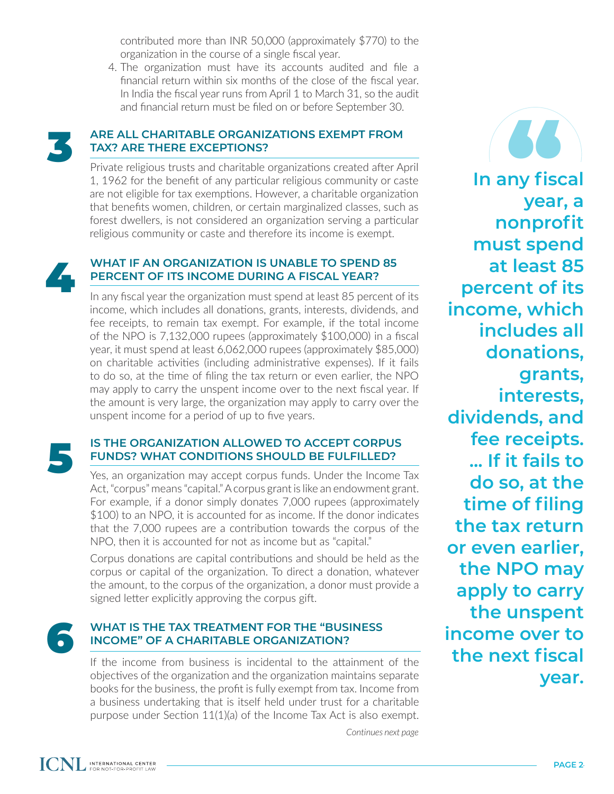contributed more than INR 50,000 (approximately \$770) to the organization in the course of a single fiscal year.

4. The organization must have its accounts audited and file a financial return within six months of the close of the fiscal year. In India the fiscal year runs from April 1 to March 31, so the audit and financial return must be filed on or before September 30.



### **ARE ALL CHARITABLE ORGANIZATIONS EXEMPT FROM TAX? ARE THERE EXCEPTIONS?**

Private religious trusts and charitable organizations created after April 1, 1962 for the benefit of any particular religious community or caste are not eligible for tax exemptions. However, a charitable organization that benefits women, children, or certain marginalized classes, such as forest dwellers, is not considered an organization serving a particular religious community or caste and therefore its income is exempt.



#### **WHAT IF AN ORGANIZATION IS UNABLE TO SPEND 85 PERCENT OF ITS INCOME DURING A FISCAL YEAR?**

In any fiscal year the organization must spend at least 85 percent of its income, which includes all donations, grants, interests, dividends, and fee receipts, to remain tax exempt. For example, if the total income of the NPO is 7,132,000 rupees (approximately \$100,000) in a fiscal year, it must spend at least 6,062,000 rupees (approximately \$85,000) on charitable activities (including administrative expenses). If it fails to do so, at the time of filing the tax return or even earlier, the NPO may apply to carry the unspent income over to the next fiscal year. If the amount is very large, the organization may apply to carry over the unspent income for a period of up to five years.

# **IS THE ORGANIZATION ALLOWED TO ACCEPT CORPUS<br>
FUNDS? WHAT CONDITIONS SHOULD BE FULFILLED?**<br>
Yes, an organization may accept corpus funds. Under the Income Tax

Act, "corpus" means "capital." A corpus grant is like an endowment grant. For example, if a donor simply donates 7,000 rupees (approximately \$100) to an NPO, it is accounted for as income. If the donor indicates that the 7,000 rupees are a contribution towards the corpus of the NPO, then it is accounted for not as income but as "capital."

Corpus donations are capital contributions and should be held as the corpus or capital of the organization. To direct a donation, whatever the amount, to the corpus of the organization, a donor must provide a signed letter explicitly approving the corpus gift.

## WHAT IS THE TAX TREATMENT FOR THE "BUSINESS<br>INCOME" OF A CHARITABLE ORGANIZATION?

If the income from business is incidental to the attainment of the objectives of the organization and the organization maintains separate books for the business, the profit is fully exempt from tax. Income from a business undertaking that is itself held under trust for a charitable purpose under Section 11(1)(a) of the Income Tax Act is also exempt.

*Continues next page*

**In any fiscal SS**<br>ny fiso<br>vear **year, a nonprofit must spend at least 85 percent of its income, which includes all donations, grants, interests, dividends, and fee receipts. ... If it fails to do so, at the time of filing the tax return or even earlier, the NPO may apply to carry the unspent income over to the next fiscal year.**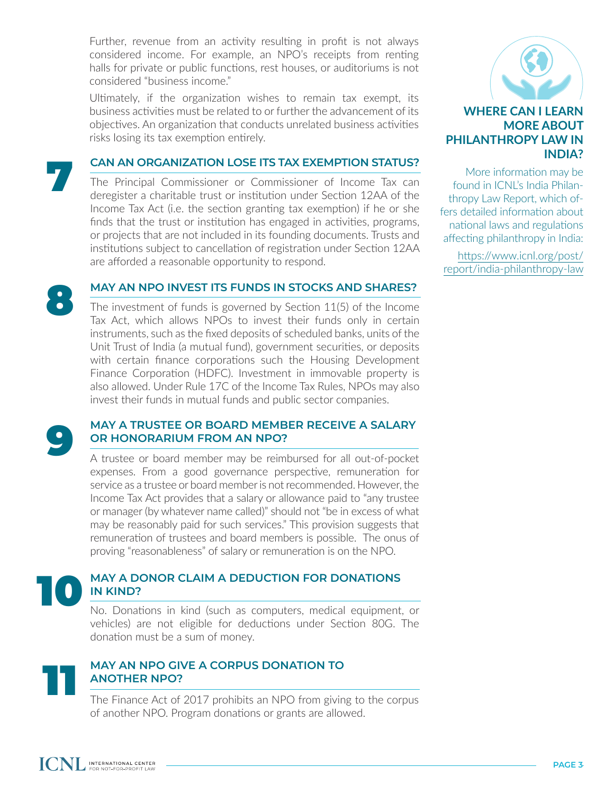Further, revenue from an activity resulting in profit is not always considered income. For example, an NPO's receipts from renting halls for private or public functions, rest houses, or auditoriums is not considered "business income."

Ultimately, if the organization wishes to remain tax exempt, its business activities must be related to or further the advancement of its objectives. An organization that conducts unrelated business activities risks losing its tax exemption entirely.

### **CAN AN ORGANIZATION LOSE ITS TAX EXEMPTION STATUS?**

The Principal Commissioner or Commissioner of Income Tax can deregister a charitable trust or institution under Section 12AA of the Income Tax Act (i.e. the section granting tax exemption) if he or she finds that the trust or institution has engaged in activities, programs, or projects that are not included in its founding documents. Trusts and institutions subject to cancellation of registration under Section 12AA are afforded a reasonable opportunity to respond.

#### **MAY AN NPO INVEST ITS FUNDS IN STOCKS AND SHARES?**

The investment of funds is governed by Section 11(5) of the Income Tax Act, which allows NPOs to invest their funds only in certain instruments, such as the fixed deposits of scheduled banks, units of the Unit Trust of India (a mutual fund), government securities, or deposits with certain finance corporations such the Housing Development Finance Corporation (HDFC). Investment in immovable property is also allowed. Under Rule 17C of the Income Tax Rules, NPOs may also invest their funds in mutual funds and public sector companies.

7

8

# MAY A TRUSTEE OR BOARD MEMBER RECEIVE A SALARY OR HONORARIUM FROM AN NPO?<br>A trustee or board member may be reimbursed for all out-of-pocket

expenses. From a good governance perspective, remuneration for service as a trustee or board member is not recommended. However, the Income Tax Act provides that a salary or allowance paid to "any trustee or manager (by whatever name called)" should not "be in excess of what may be reasonably paid for such services." This provision suggests that remuneration of trustees and board members is possible. The onus of proving "reasonableness" of salary or remuneration is on the NPO.

## **MAY A DONOR CLAIM A DEDUCTION FOR DONATIONS IN KIND?**

No. Donations in kind (such as computers, medical equipment, or vehicles) are not eligible for deductions under Section 80G. The donation must be a sum of money.



#### **MAY AN NPO GIVE A CORPUS DONATION TO ANOTHER NPO?**

The Finance Act of 2017 prohibits an NPO from giving to the corpus of another NPO. Program donations or grants are allowed.



More information may be found in ICNL's India Philanthropy Law Report, which offers detailed information about national laws and regulations affecting philanthropy in India:

[https://www.icnl.org/post/](https://www.icnl.org/post/report/india-philanthropy-law) [report/india-philanthropy-law](https://www.icnl.org/post/report/india-philanthropy-law)